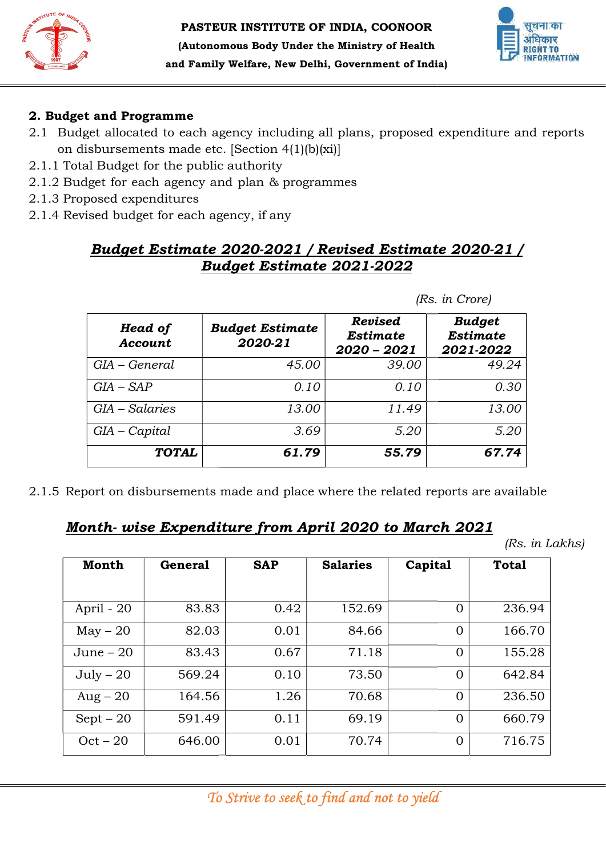



### 2. Budget and Programme

- 2.1 Budget allocated to each agency including all plans, proposed expenditure and reports on disbursements made etc. [Section 4(1)(b)(xi)]
- 2.1.1 Total Budget for the public
- 2.1.2 Budget for each agency and plan & programmes
- 2.1.3 Proposed expenditures
- 2.1.4 Revised budget for each agency, if any

# <u>Budget Estimate 2020-2021 / Revised Estimate 2020-21 /</u> Budget Estimate 2021 Budget 2021-2022

| <b>Head of</b><br>Account | <b>Budget Estimate</b><br>2020-21 | <b>Revised</b><br><b>Estimate</b><br>$2020 - 2021$ | <b>Budget</b><br><b>Estimate</b><br>2021-2022 |  |  |  |
|---------------------------|-----------------------------------|----------------------------------------------------|-----------------------------------------------|--|--|--|
| GIA – General             | 45.00                             | 39.00                                              | 49.24                                         |  |  |  |
| $GIA-SAP$                 | 0.10                              | 0.10                                               | 0.30                                          |  |  |  |
| GIA - Salaries            | 13.00                             | 11.49                                              | 13.00                                         |  |  |  |
| $GIA-Capital$             | 3.69                              | 5.20                                               | 5.20                                          |  |  |  |
| <b>TOTAL</b>              | 61.79                             | 55.79                                              | 67.74                                         |  |  |  |

2.1.5 Report on disbursements made and place where the related reports are available

## Month- wise Expenditure from April 2020 to March 2021

|                           | Proposed expenditures<br>Revised budget for each agency, if any |                                   | <b>Budget Estimate 2020-2021 / Revised Estimate 2020-21 /</b>                  |         |                            |                 |
|---------------------------|-----------------------------------------------------------------|-----------------------------------|--------------------------------------------------------------------------------|---------|----------------------------|-----------------|
|                           |                                                                 |                                   | <u> Budget Estimate 2021-2022</u>                                              |         |                            |                 |
|                           |                                                                 |                                   |                                                                                |         | (Rs. in Crore)             |                 |
|                           | Head of<br>Account                                              | <b>Budget Estimate</b><br>2020-21 | <b>Revised</b><br><b>Estimate</b><br>2020 - 2021                               |         | <b>Budget</b><br>2021-2022 | <b>Estimate</b> |
| GIA - General             |                                                                 | 45.00                             |                                                                                | 39.00   |                            | 49.24           |
| $GIA - SAP$               |                                                                 | 0.10                              |                                                                                | 0.10    |                            | 0.30            |
| $GIA-Salaries$            |                                                                 |                                   |                                                                                |         | 13.00                      |                 |
|                           |                                                                 | 13.00                             |                                                                                | 11.49   |                            |                 |
|                           |                                                                 | 3.69                              |                                                                                | 5.20    |                            | 5.20            |
| $GIA-Capital$             | <b>TOTAL</b>                                                    | 61.79                             | Report on disbursements made and place where the related reports are available | 55.79   |                            | 67.74           |
|                           |                                                                 |                                   | <u> Month-wise Expenditure from April 2020 to March 2021</u>                   |         |                            | (Rs. in Lakhs)  |
| <b>Month</b>              | <b>General</b>                                                  | <b>SAP</b>                        | <b>Salaries</b>                                                                | Capital |                            | <b>Total</b>    |
| April - 20                | 83.83                                                           | 0.42                              | 152.69                                                                         |         | $\overline{0}$             | 236.94          |
| $May - 20$                | 82.03                                                           | 0.01                              | 84.66                                                                          |         | $\overline{0}$             | 166.70          |
| June $-20$                | 83.43                                                           | 0.67                              | 71.18                                                                          |         | $\overline{0}$             | 155.28          |
| $July - 20$               | 569.24                                                          | 0.10                              | 73.50                                                                          |         | $\overline{0}$             | 642.84          |
|                           | 164.56                                                          | 1.26                              | 70.68                                                                          |         | $\mathbf{0}$               | 236.50          |
| $Aug - 20$<br>$Sept - 20$ | 591.49                                                          | 0.11                              | 69.19                                                                          |         | $\overline{0}$             | 660.79          |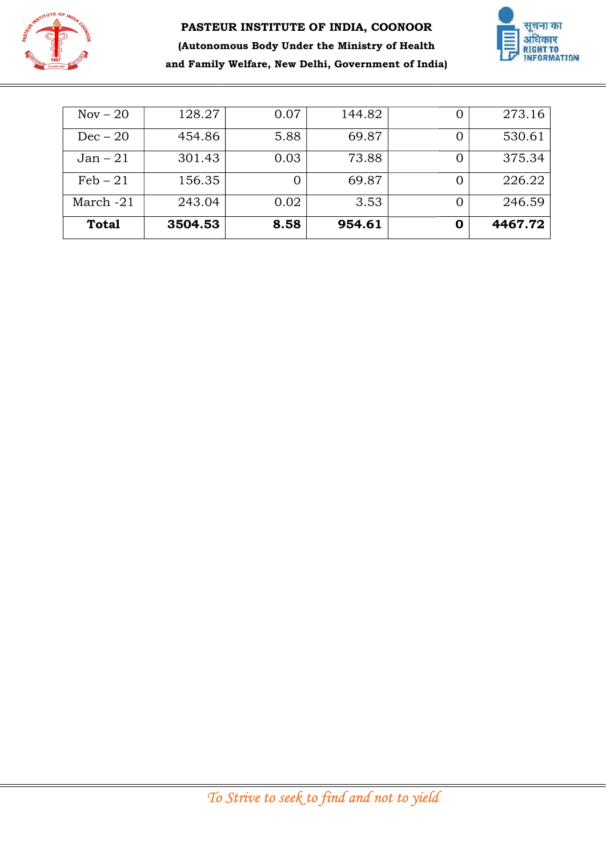



| $Nov - 20$<br>273.16<br>128.27<br>0.07<br>144.82<br>$\mathbf{0}$<br>530.61<br>$Dec-20$<br>5.88<br>69.87<br>454.86<br>$\overline{0}$<br>0.03<br>375.34<br>$Jan - 21$<br>301.43<br>73.88<br>$\boldsymbol{0}$<br>$\overline{\text{Feb} - 21}$<br>156.35<br>69.87<br>226.22<br>$\boldsymbol{0}$<br>$\boldsymbol{0}$<br>March $-21$<br>0.02<br>3.53<br>243.04<br>246.59<br>$\overline{0}$<br><b>Total</b><br>8.58<br>954.61<br>4467.72<br>3504.53<br>$\mathbf 0$<br>To Strive to seek to find and not to yield |  |  |  |
|-----------------------------------------------------------------------------------------------------------------------------------------------------------------------------------------------------------------------------------------------------------------------------------------------------------------------------------------------------------------------------------------------------------------------------------------------------------------------------------------------------------|--|--|--|
|                                                                                                                                                                                                                                                                                                                                                                                                                                                                                                           |  |  |  |
|                                                                                                                                                                                                                                                                                                                                                                                                                                                                                                           |  |  |  |
|                                                                                                                                                                                                                                                                                                                                                                                                                                                                                                           |  |  |  |
|                                                                                                                                                                                                                                                                                                                                                                                                                                                                                                           |  |  |  |
|                                                                                                                                                                                                                                                                                                                                                                                                                                                                                                           |  |  |  |
|                                                                                                                                                                                                                                                                                                                                                                                                                                                                                                           |  |  |  |
|                                                                                                                                                                                                                                                                                                                                                                                                                                                                                                           |  |  |  |
|                                                                                                                                                                                                                                                                                                                                                                                                                                                                                                           |  |  |  |
|                                                                                                                                                                                                                                                                                                                                                                                                                                                                                                           |  |  |  |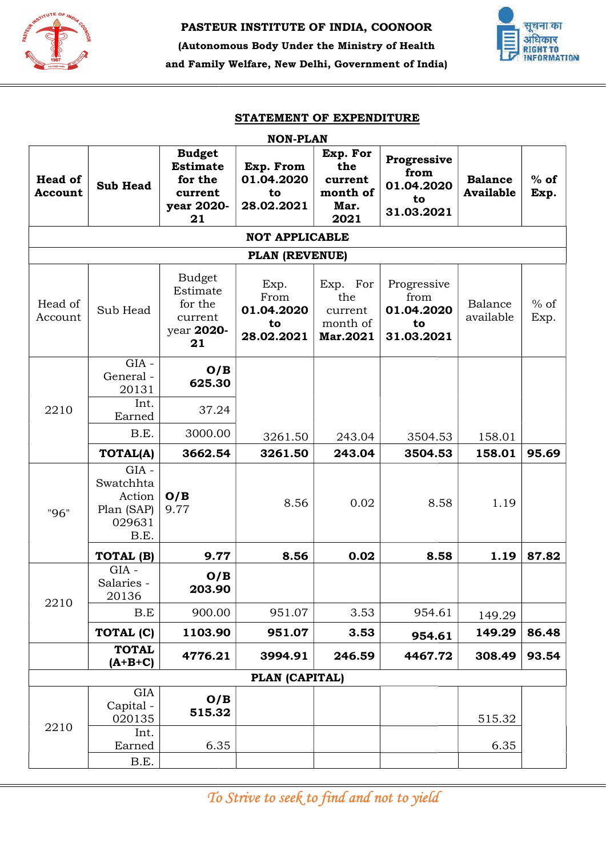



|                           |                                                                |                                                                            | STATEMENT OF EXPENDITURE<br><b>NON-PLAN</b>    |                                                        |                                                       |                                    |                |
|---------------------------|----------------------------------------------------------------|----------------------------------------------------------------------------|------------------------------------------------|--------------------------------------------------------|-------------------------------------------------------|------------------------------------|----------------|
| <b>Head of</b><br>Account | <b>Sub Head</b>                                                | <b>Budget</b><br><b>Estimate</b><br>for the<br>current<br>year 2020-<br>21 | Exp. From<br>01.04.2020<br>to<br>28.02.2021    | Exp. For<br>the<br>current<br>month of<br>Mar.<br>2021 | Progressive<br>from<br>01.04.2020<br>to<br>31.03.2021 | <b>Balance</b><br><b>Available</b> | $%$ of<br>Exp. |
|                           |                                                                |                                                                            | <b>NOT APPLICABLE</b>                          |                                                        |                                                       |                                    |                |
|                           |                                                                |                                                                            | PLAN (REVENUE)                                 |                                                        |                                                       |                                    |                |
| Head of<br>Account        | Sub Head                                                       | <b>Budget</b><br>Estimate<br>for the<br>current<br>year 2020-<br>21        | Exp.<br>From<br>01.04.2020<br>to<br>28.02.2021 | Exp. For<br>the<br>current<br>month of<br>Mar.2021     | Progressive<br>from<br>01.04.2020<br>to<br>31.03.2021 | Balance<br>available               | $%$ of<br>Exp. |
| 2210                      | $GIA -$<br>General-<br>20131                                   | O/B<br>625.30                                                              |                                                |                                                        |                                                       |                                    |                |
|                           | Int.<br>Earned                                                 | 37.24                                                                      |                                                |                                                        |                                                       |                                    |                |
|                           | B.E.                                                           | 3000.00                                                                    | 3261.50                                        | 243.04                                                 | 3504.53                                               | 158.01                             |                |
|                           | <b>TOTAL(A)</b>                                                | 3662.54                                                                    | 3261.50                                        | 243.04                                                 | 3504.53                                               | 158.01                             | 95.69          |
| "96"                      | $GIA -$<br>Swatchhta<br>Action<br>Plan (SAP)<br>029631<br>B.E. | O/B<br>9.77                                                                | 8.56                                           | 0.02                                                   | 8.58                                                  | 1.19                               |                |
|                           | TOTAL (B)                                                      | 9.77                                                                       | 8.56                                           | 0.02                                                   | 8.58                                                  | 1.19                               | 87.82          |
|                           | $GIA -$<br>Salaries -<br>20136                                 | O/B<br>203.90                                                              |                                                |                                                        |                                                       |                                    |                |
| 2210                      | B.E                                                            | 900.00                                                                     | 951.07                                         | 3.53                                                   | 954.61                                                | 149.29                             |                |
|                           | TOTAL (C)                                                      | 1103.90                                                                    | 951.07                                         | 3.53                                                   | 954.61                                                | 149.29                             | 86.48          |
|                           | <b>TOTAL</b><br>$(A+B+C)$                                      | 4776.21                                                                    | 3994.91                                        | 246.59                                                 | 4467.72                                               | 308.49                             | 93.54          |
|                           |                                                                |                                                                            | PLAN (CAPITAL)                                 |                                                        |                                                       |                                    |                |
|                           | GIA<br>Capital -<br>020135                                     | O/B<br>515.32                                                              |                                                |                                                        |                                                       | 515.32                             |                |
| 2210                      | Int.<br>Earned                                                 | 6.35                                                                       |                                                |                                                        |                                                       | 6.35                               |                |
|                           | B.E.                                                           |                                                                            |                                                |                                                        |                                                       |                                    |                |